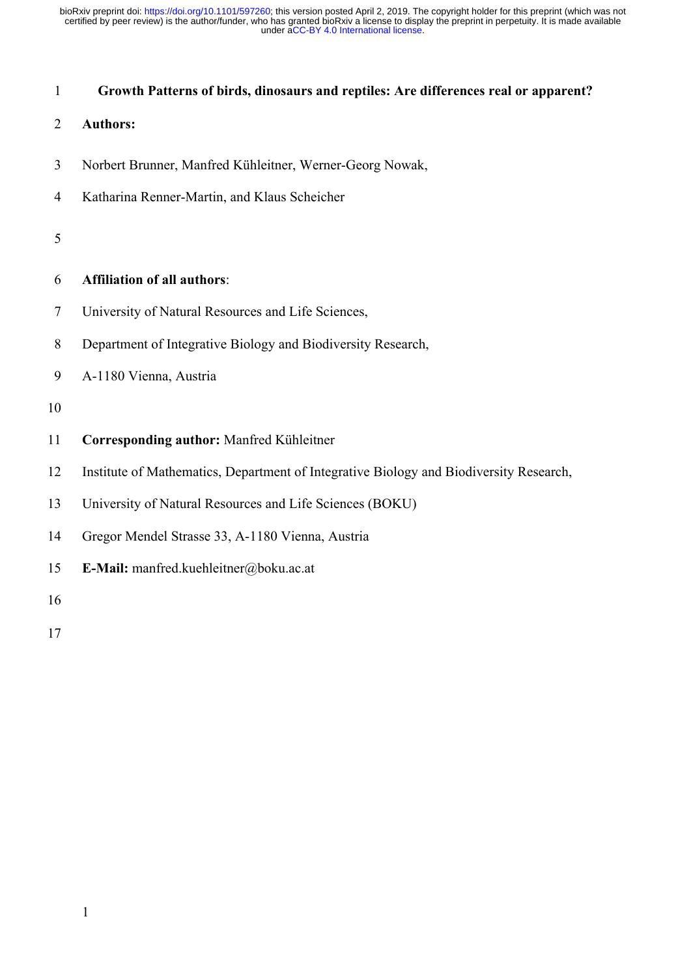# 1 **Growth Patterns of birds, dinosaurs and reptiles: Are differences real or apparent?**

# 2 **Authors:**

- 3 Norbert Brunner, Manfred Kühleitner, Werner-Georg Nowak,
- 4 Katharina Renner-Martin, and Klaus Scheicher

## 5

# 6 **Affiliation of all authors**:

- 7 University of Natural Resources and Life Sciences,
- 8 Department of Integrative Biology and Biodiversity Research,
- 9 A-1180 Vienna, Austria

## 10

- 11 **Corresponding author:** Manfred Kühleitner
- 12 Institute of Mathematics, Department of Integrative Biology and Biodiversity Research,
- 13 University of Natural Resources and Life Sciences (BOKU)
- 14 Gregor Mendel Strasse 33, A-1180 Vienna, Austria
- 15 **E-Mail:** manfred.kuehleitner@boku.ac.at

16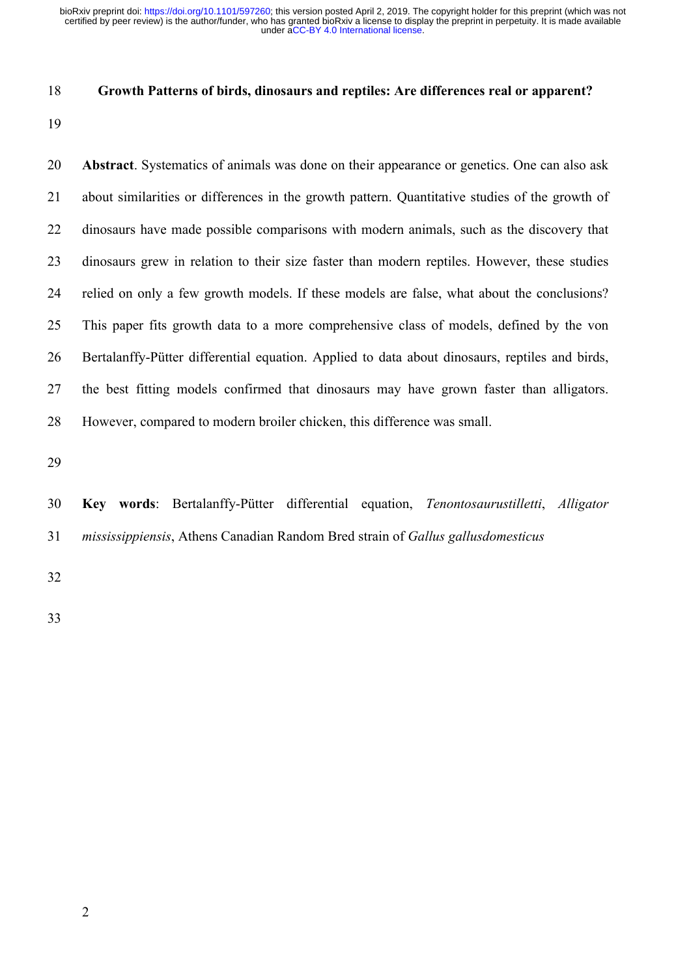#### 18 **Growth Patterns of birds, dinosaurs and reptiles: Are differences real or apparent?**

19

20 **Abstract**. Systematics of animals was done on their appearance or genetics. One can also ask 21 about similarities or differences in the growth pattern. Quantitative studies of the growth of 22 dinosaurs have made possible comparisons with modern animals, such as the discovery that 23 dinosaurs grew in relation to their size faster than modern reptiles. However, these studies 24 relied on only a few growth models. If these models are false, what about the conclusions? 25 This paper fits growth data to a more comprehensive class of models, defined by the von 26 Bertalanffy-Pütter differential equation. Applied to data about dinosaurs, reptiles and birds, 27 the best fitting models confirmed that dinosaurs may have grown faster than alligators. 28 However, compared to modern broiler chicken, this difference was small.

29

30 **Key words**: Bertalanffy-Pütter differential equation, *Tenontosaurustilletti*, *Alligator*  31 *mississippiensis*, Athens Canadian Random Bred strain of *Gallus gallusdomesticus*

- 32
- 33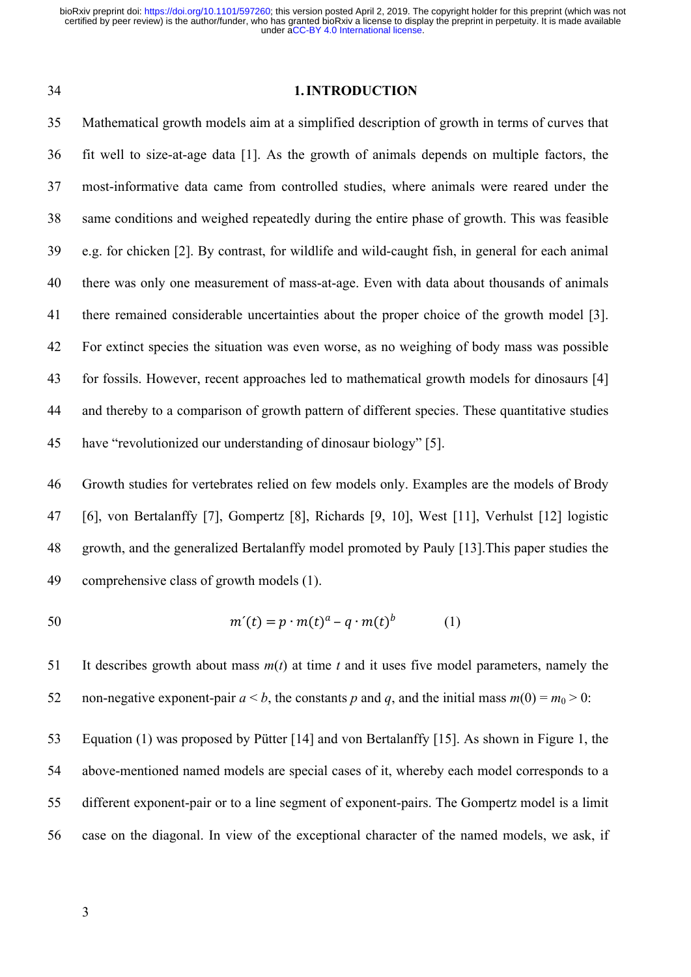#### 34 **1. INTRODUCTION**

35 Mathematical growth models aim at a simplified description of growth in terms of curves that 36 fit well to size-at-age data [1]. As the growth of animals depends on multiple factors, the 37 most-informative data came from controlled studies, where animals were reared under the 38 same conditions and weighed repeatedly during the entire phase of growth. This was feasible 39 e.g. for chicken [2]. By contrast, for wildlife and wild-caught fish, in general for each animal 40 there was only one measurement of mass-at-age. Even with data about thousands of animals 41 there remained considerable uncertainties about the proper choice of the growth model [3]. 42 For extinct species the situation was even worse, as no weighing of body mass was possible 43 for fossils. However, recent approaches led to mathematical growth models for dinosaurs [4] 44 and thereby to a comparison of growth pattern of different species. These quantitative studies 45 have "revolutionized our understanding of dinosaur biology" [5].

46 Growth studies for vertebrates relied on few models only. Examples are the models of Brody 47 [6], von Bertalanffy [7], Gompertz [8], Richards [9, 10], West [11], Verhulst [12] logistic 48 growth, and the generalized Bertalanffy model promoted by Pauly [13].This paper studies the 49 comprehensive class of growth models (1).

$$
50 \qquad m'(t) = p \cdot m(t)^a - q \cdot m(t)^b \qquad (1)
$$

51 It describes growth about mass *m*(*t*) at time *t* and it uses five model parameters, namely the 52 non-negative exponent-pair  $a < b$ , the constants p and q, and the initial mass  $m(0) = m_0 > 0$ :

53 Equation (1) was proposed by Pütter [14] and von Bertalanffy [15]. As shown in Figure 1, the 54 above-mentioned named models are special cases of it, whereby each model corresponds to a 55 different exponent-pair or to a line segment of exponent-pairs. The Gompertz model is a limit 56 case on the diagonal. In view of the exceptional character of the named models, we ask, if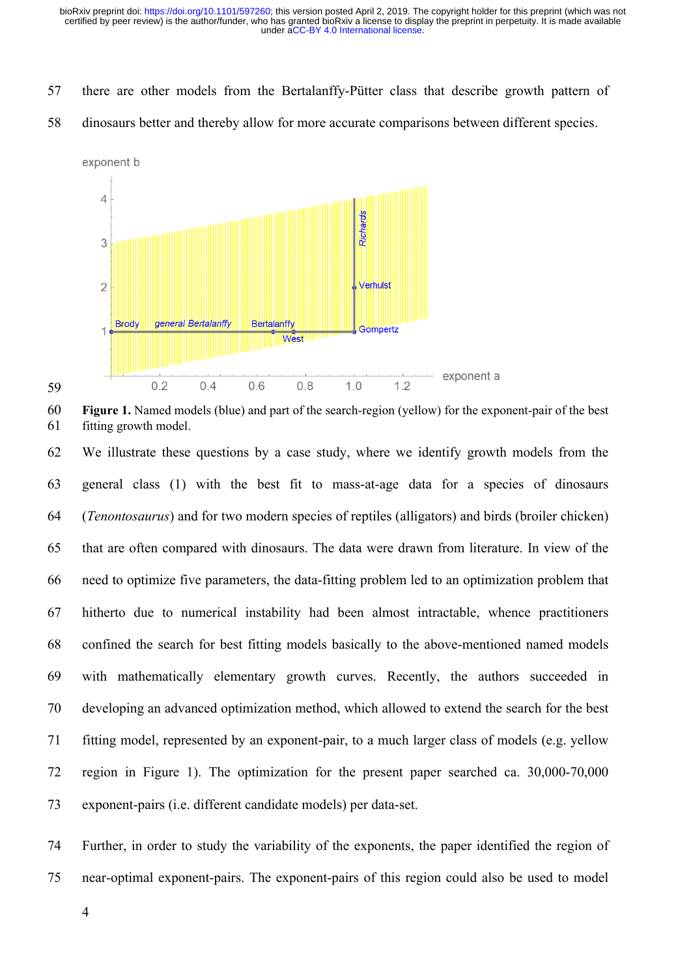- 57 there are other models from the Bertalanffy-Pütter class that describe growth pattern of
- 58 dinosaurs better and thereby allow for more accurate comparisons between different species.



<sup>60</sup> **Figure 1.** Named models (blue) and part of the search-region (yellow) for the exponent-pair of the best 61 fitting growth model.

62 We illustrate these questions by a case study, where we identify growth models from the 63 general class (1) with the best fit to mass-at-age data for a species of dinosaurs 64 (*Tenontosaurus*) and for two modern species of reptiles (alligators) and birds (broiler chicken) 65 that are often compared with dinosaurs. The data were drawn from literature. In view of the 66 need to optimize five parameters, the data-fitting problem led to an optimization problem that 67 hitherto due to numerical instability had been almost intractable, whence practitioners 68 confined the search for best fitting models basically to the above-mentioned named models 69 with mathematically elementary growth curves. Recently, the authors succeeded in 70 developing an advanced optimization method, which allowed to extend the search for the best 71 fitting model, represented by an exponent-pair, to a much larger class of models (e.g. yellow 72 region in Figure 1). The optimization for the present paper searched ca. 30,000-70,000 73 exponent-pairs (i.e. different candidate models) per data-set.

74 Further, in order to study the variability of the exponents, the paper identified the region of 75 near-optimal exponent-pairs. The exponent-pairs of this region could also be used to model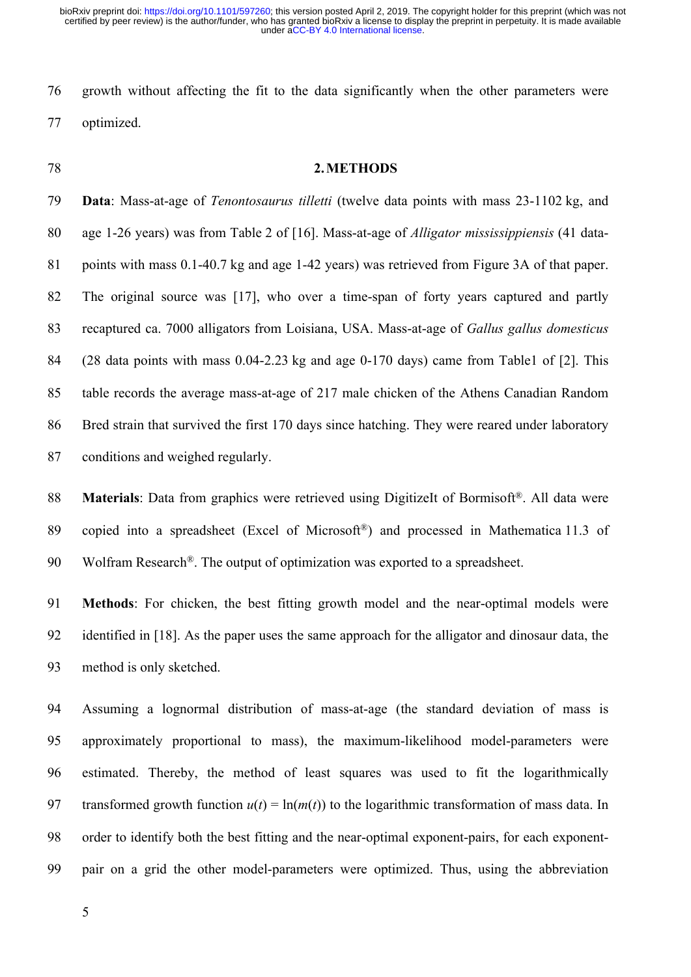76 growth without affecting the fit to the data significantly when the other parameters were 77 optimized.

# 78 **2. METHODS**

79 **Data**: Mass-at-age of *Tenontosaurus tilletti* (twelve data points with mass 23-1102 kg, and 80 age 1-26 years) was from Table 2 of [16]. Mass-at-age of *Alligator mississippiensis* (41 data-81 points with mass 0.1-40.7 kg and age 1-42 years) was retrieved from Figure 3A of that paper. 82 The original source was [17], who over a time-span of forty years captured and partly 83 recaptured ca. 7000 alligators from Loisiana, USA. Mass-at-age of *Gallus gallus domesticus*  84 (28 data points with mass 0.04-2.23 kg and age 0-170 days) came from Table1 of [2]. This 85 table records the average mass-at-age of 217 male chicken of the Athens Canadian Random 86 Bred strain that survived the first 170 days since hatching. They were reared under laboratory 87 conditions and weighed regularly.

88 **Materials**: Data from graphics were retrieved using DigitizeIt of Bormisoft<sup>®</sup>. All data were 89 copied into a spreadsheet (Excel of Microsoft®) and processed in Mathematica 11.3 of 90 Wolfram Research<sup>®</sup>. The output of optimization was exported to a spreadsheet.

91 **Methods**: For chicken, the best fitting growth model and the near-optimal models were 92 identified in [18]. As the paper uses the same approach for the alligator and dinosaur data, the 93 method is only sketched.

94 Assuming a lognormal distribution of mass-at-age (the standard deviation of mass is 95 approximately proportional to mass), the maximum-likelihood model-parameters were 96 estimated. Thereby, the method of least squares was used to fit the logarithmically 97 transformed growth function  $u(t) = \ln(m(t))$  to the logarithmic transformation of mass data. In 98 order to identify both the best fitting and the near-optimal exponent-pairs, for each exponent-99 pair on a grid the other model-parameters were optimized. Thus, using the abbreviation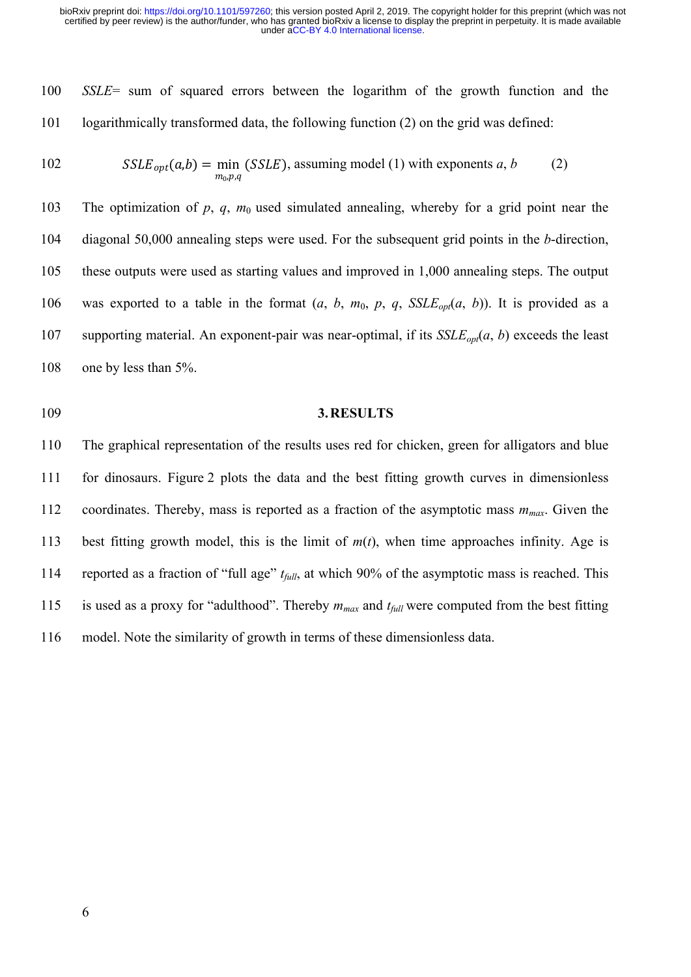100 *SSLE*= sum of squared errors between the logarithm of the growth function and the 101 logarithmically transformed data, the following function (2) on the grid was defined:

102 
$$
SSE_{opt}(a,b) = \min_{m_0,p,q} (SSE), \text{assuming model (1) with exponents } a, b \qquad (2)
$$

103 The optimization of *p*, *q*, *m*<sub>0</sub> used simulated annealing, whereby for a grid point near the 104 diagonal 50,000 annealing steps were used. For the subsequent grid points in the *b*-direction, 105 these outputs were used as starting values and improved in 1,000 annealing steps. The output 106 was exported to a table in the format  $(a, b, m_0, p, q, SSLE_{opt}(a, b))$ . It is provided as a 107 supporting material. An exponent-pair was near-optimal, if its  $SSE_{\text{cont}}(a, b)$  exceeds the least 108 one by less than 5%.

# 109 **3. RESULTS**

110 The graphical representation of the results uses red for chicken, green for alligators and blue 111 for dinosaurs. Figure 2 plots the data and the best fitting growth curves in dimensionless 112 coordinates. Thereby, mass is reported as a fraction of the asymptotic mass *mmax*. Given the 113 best fitting growth model, this is the limit of *m*(*t*), when time approaches infinity. Age is 114 reported as a fraction of "full age" *tfull*, at which 90% of the asymptotic mass is reached. This 115 is used as a proxy for "adulthood". Thereby *mmax* and *tfull* were computed from the best fitting 116 model. Note the similarity of growth in terms of these dimensionless data.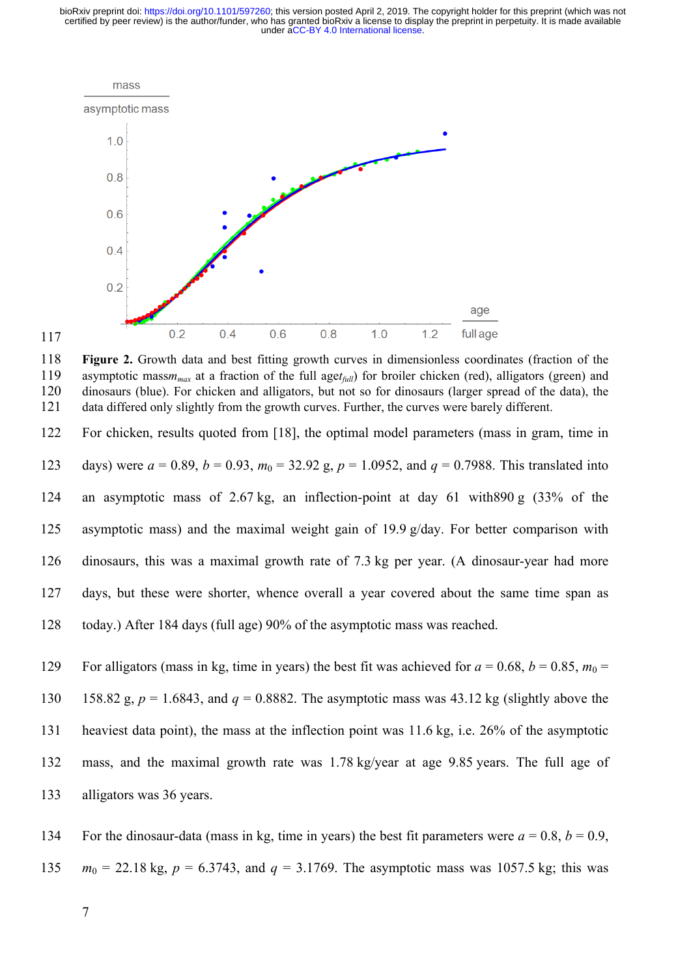

117

118 **Figure 2.** Growth data and best fitting growth curves in dimensionless coordinates (fraction of the 119 asymptotic mass*mmax* at a fraction of the full age*tfull*) for broiler chicken (red), alligators (green) and 120 dinosaurs (blue). For chicken and alligators, but not so for dinosaurs (larger spread of the data), the 121 data differed only slightly from the growth curves. Further, the curves were barely different.

122 For chicken, results quoted from [18], the optimal model parameters (mass in gram, time in 123 days) were  $a = 0.89$ ,  $b = 0.93$ ,  $m_0 = 32.92$  g,  $p = 1.0952$ , and  $q = 0.7988$ . This translated into 124 an asymptotic mass of 2.67 kg, an inflection-point at day 61 with890 g (33% of the 125 asymptotic mass) and the maximal weight gain of 19.9 g/day. For better comparison with 126 dinosaurs, this was a maximal growth rate of 7.3 kg per year. (A dinosaur-year had more 127 days, but these were shorter, whence overall a year covered about the same time span as 128 today.) After 184 days (full age) 90% of the asymptotic mass was reached.

129 For alligators (mass in kg, time in years) the best fit was achieved for  $a = 0.68$ ,  $b = 0.85$ ,  $m_0 =$ 130 158.82 g,  $p = 1.6843$ , and  $q = 0.8882$ . The asymptotic mass was 43.12 kg (slightly above the 131 heaviest data point), the mass at the inflection point was 11.6 kg, i.e. 26% of the asymptotic 132 mass, and the maximal growth rate was 1.78 kg/year at age 9.85 years. The full age of 133 alligators was 36 years.

134 For the dinosaur-data (mass in kg, time in years) the best fit parameters were  $a = 0.8$ ,  $b = 0.9$ , 135 *m*0 = 22.18 kg, *p* = 6.3743, and *q* = 3.1769. The asymptotic mass was 1057.5 kg; this was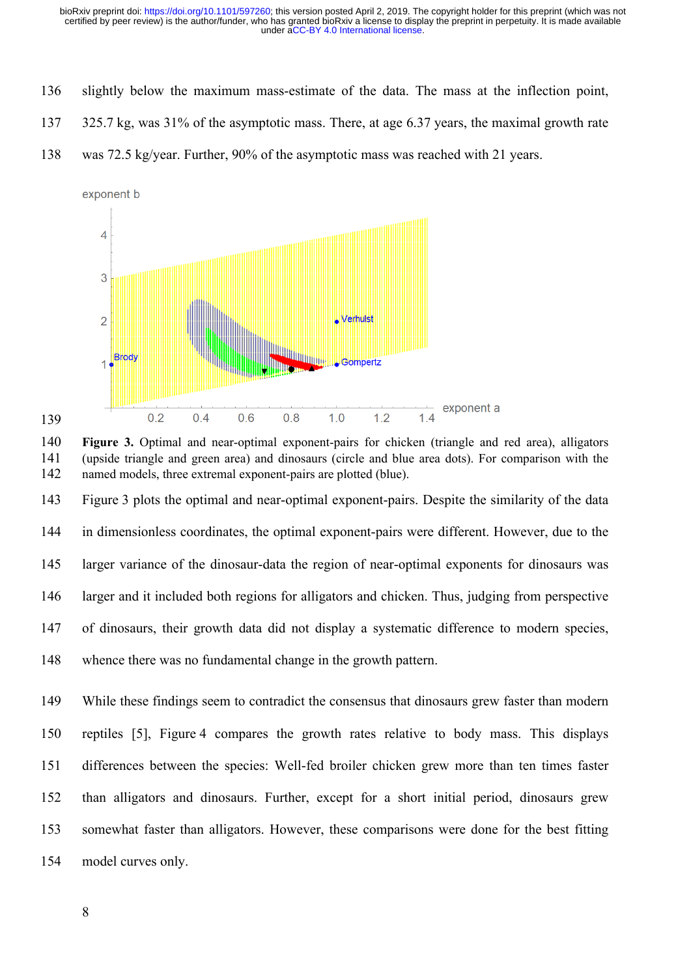- 136 slightly below the maximum mass-estimate of the data. The mass at the inflection point,
- 137 325.7 kg, was 31% of the asymptotic mass. There, at age 6.37 years, the maximal growth rate
- 138 was 72.5 kg/year. Further, 90% of the asymptotic mass was reached with 21 years.





143 Figure 3 plots the optimal and near-optimal exponent-pairs. Despite the similarity of the data 144 in dimensionless coordinates, the optimal exponent-pairs were different. However, due to the 145 larger variance of the dinosaur-data the region of near-optimal exponents for dinosaurs was 146 larger and it included both regions for alligators and chicken. Thus, judging from perspective 147 of dinosaurs, their growth data did not display a systematic difference to modern species, 148 whence there was no fundamental change in the growth pattern.

149 While these findings seem to contradict the consensus that dinosaurs grew faster than modern 150 reptiles [5], Figure 4 compares the growth rates relative to body mass. This displays 151 differences between the species: Well-fed broiler chicken grew more than ten times faster 152 than alligators and dinosaurs. Further, except for a short initial period, dinosaurs grew 153 somewhat faster than alligators. However, these comparisons were done for the best fitting 154 model curves only.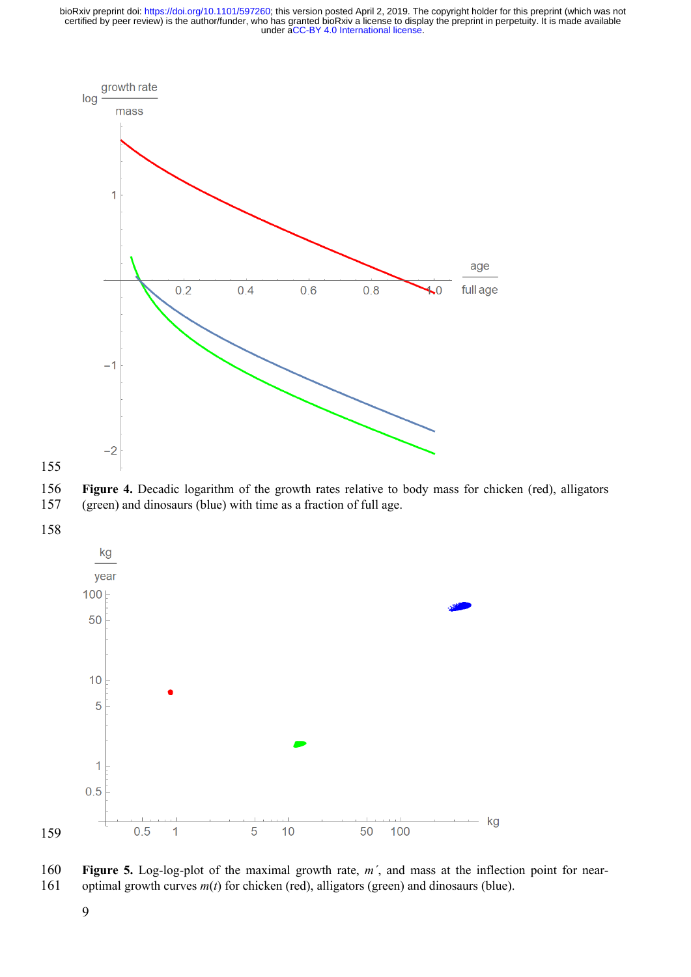



 **Figure 4.** Decadic logarithm of the growth rates relative to body mass for chicken (red), alligators (green) and dinosaurs (blue) with time as a fraction of full age.



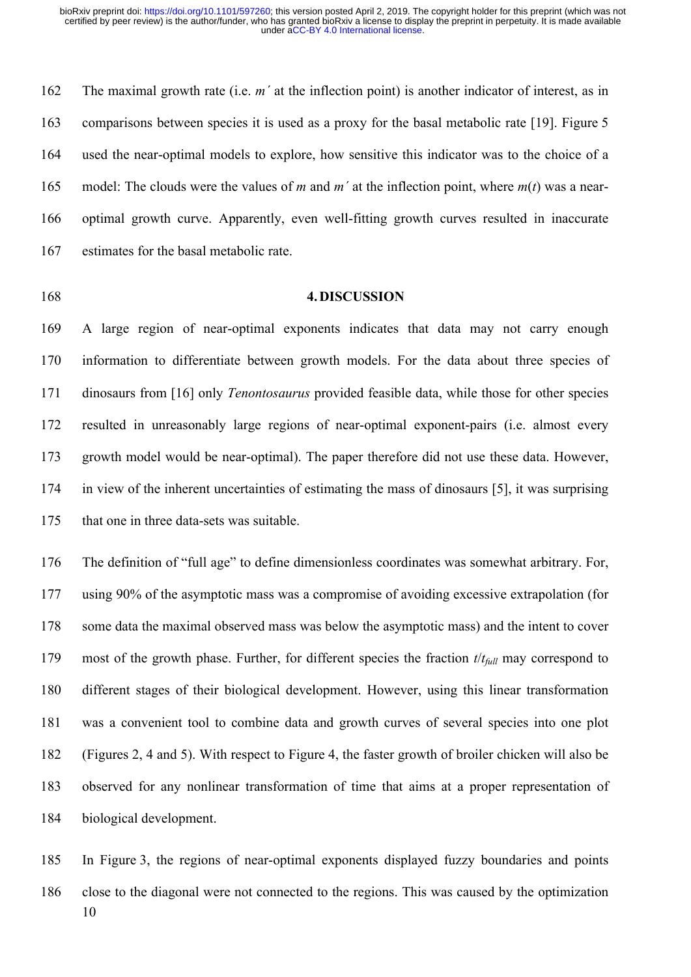162 The maximal growth rate (i.e. *m´* at the inflection point) is another indicator of interest, as in 163 comparisons between species it is used as a proxy for the basal metabolic rate [19]. Figure 5 164 used the near-optimal models to explore, how sensitive this indicator was to the choice of a 165 model: The clouds were the values of *m* and *m´* at the inflection point, where *m*(*t*) was a near-166 optimal growth curve. Apparently, even well-fitting growth curves resulted in inaccurate 167 estimates for the basal metabolic rate.

## 168 **4. DISCUSSION**

169 A large region of near-optimal exponents indicates that data may not carry enough 170 information to differentiate between growth models. For the data about three species of 171 dinosaurs from [16] only *Tenontosaurus* provided feasible data, while those for other species 172 resulted in unreasonably large regions of near-optimal exponent-pairs (i.e. almost every 173 growth model would be near-optimal). The paper therefore did not use these data. However, 174 in view of the inherent uncertainties of estimating the mass of dinosaurs [5], it was surprising 175 that one in three data-sets was suitable.

176 The definition of "full age" to define dimensionless coordinates was somewhat arbitrary. For, 177 using 90% of the asymptotic mass was a compromise of avoiding excessive extrapolation (for 178 some data the maximal observed mass was below the asymptotic mass) and the intent to cover 179 most of the growth phase. Further, for different species the fraction *t*/*tfull* may correspond to 180 different stages of their biological development. However, using this linear transformation 181 was a convenient tool to combine data and growth curves of several species into one plot 182 (Figures 2, 4 and 5). With respect to Figure 4, the faster growth of broiler chicken will also be 183 observed for any nonlinear transformation of time that aims at a proper representation of 184 biological development.

10 185 In Figure 3, the regions of near-optimal exponents displayed fuzzy boundaries and points 186 close to the diagonal were not connected to the regions. This was caused by the optimization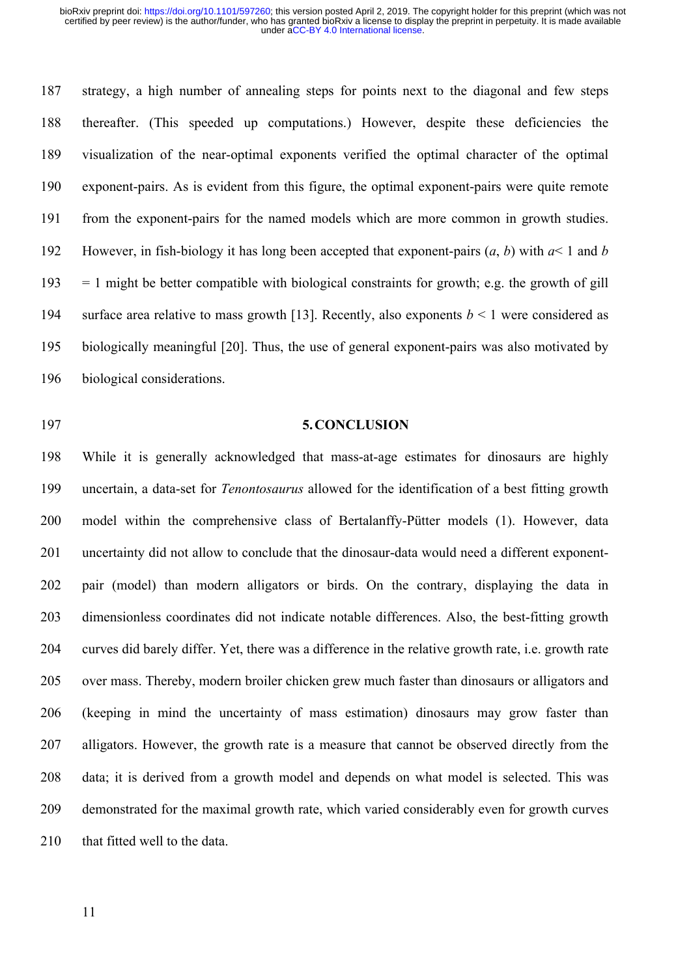187 strategy, a high number of annealing steps for points next to the diagonal and few steps 188 thereafter. (This speeded up computations.) However, despite these deficiencies the 189 visualization of the near-optimal exponents verified the optimal character of the optimal 190 exponent-pairs. As is evident from this figure, the optimal exponent-pairs were quite remote 191 from the exponent-pairs for the named models which are more common in growth studies. 192 However, in fish-biology it has long been accepted that exponent-pairs (*a*, *b*) with *a*< 1 and *b*  $193 = 1$  might be better compatible with biological constraints for growth; e.g. the growth of gill 194 surface area relative to mass growth [13]. Recently, also exponents *b* < 1 were considered as 195 biologically meaningful [20]. Thus, the use of general exponent-pairs was also motivated by 196 biological considerations.

#### 197 **5. CONCLUSION**

198 While it is generally acknowledged that mass-at-age estimates for dinosaurs are highly 199 uncertain, a data-set for *Tenontosaurus* allowed for the identification of a best fitting growth 200 model within the comprehensive class of Bertalanffy-Pütter models (1). However, data 201 uncertainty did not allow to conclude that the dinosaur-data would need a different exponent-202 pair (model) than modern alligators or birds. On the contrary, displaying the data in 203 dimensionless coordinates did not indicate notable differences. Also, the best-fitting growth 204 curves did barely differ. Yet, there was a difference in the relative growth rate, i.e. growth rate 205 over mass. Thereby, modern broiler chicken grew much faster than dinosaurs or alligators and 206 (keeping in mind the uncertainty of mass estimation) dinosaurs may grow faster than 207 alligators. However, the growth rate is a measure that cannot be observed directly from the 208 data; it is derived from a growth model and depends on what model is selected. This was 209 demonstrated for the maximal growth rate, which varied considerably even for growth curves 210 that fitted well to the data.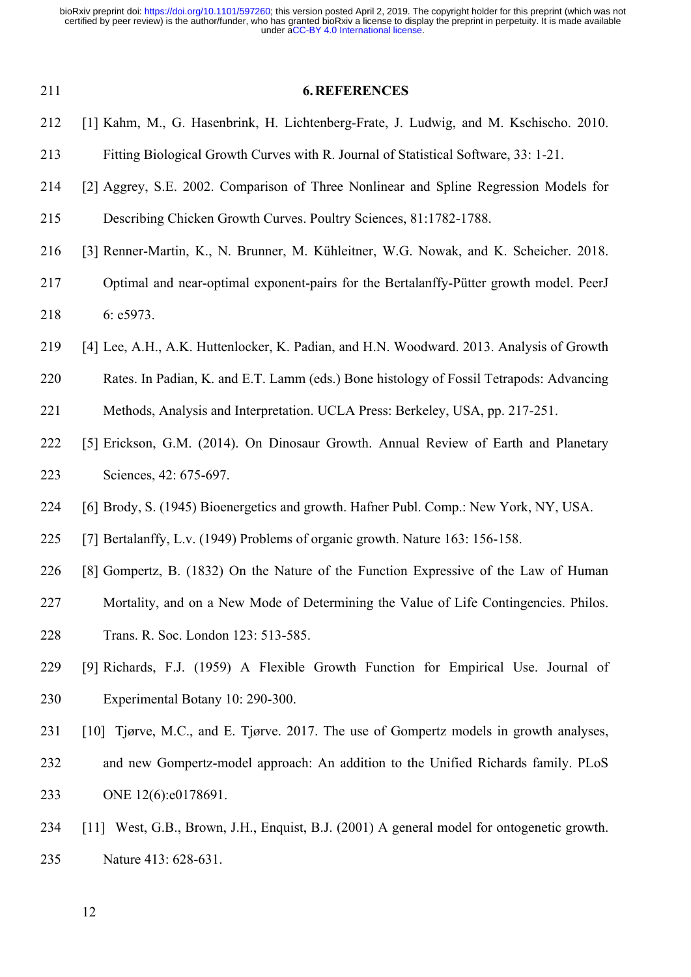| 211 | <b>6. REFERENCES</b>                                                                       |
|-----|--------------------------------------------------------------------------------------------|
| 212 | [1] Kahm, M., G. Hasenbrink, H. Lichtenberg-Frate, J. Ludwig, and M. Kschischo. 2010.      |
| 213 | Fitting Biological Growth Curves with R. Journal of Statistical Software, 33: 1-21.        |
| 214 | [2] Aggrey, S.E. 2002. Comparison of Three Nonlinear and Spline Regression Models for      |
| 215 | Describing Chicken Growth Curves. Poultry Sciences, 81:1782-1788.                          |
| 216 | [3] Renner-Martin, K., N. Brunner, M. Kühleitner, W.G. Nowak, and K. Scheicher. 2018.      |
| 217 | Optimal and near-optimal exponent-pairs for the Bertalanffy-Pütter growth model. PeerJ     |
| 218 | 6: e5973.                                                                                  |
| 219 | [4] Lee, A.H., A.K. Huttenlocker, K. Padian, and H.N. Woodward. 2013. Analysis of Growth   |
| 220 | Rates. In Padian, K. and E.T. Lamm (eds.) Bone histology of Fossil Tetrapods: Advancing    |
| 221 | Methods, Analysis and Interpretation. UCLA Press: Berkeley, USA, pp. 217-251.              |
| 222 | [5] Erickson, G.M. (2014). On Dinosaur Growth. Annual Review of Earth and Planetary        |
| 223 | Sciences, 42: 675-697.                                                                     |
| 224 | [6] Brody, S. (1945) Bioenergetics and growth. Hafner Publ. Comp.: New York, NY, USA.      |
| 225 | [7] Bertalanffy, L.v. (1949) Problems of organic growth. Nature 163: 156-158.              |
| 226 | [8] Gompertz, B. (1832) On the Nature of the Function Expressive of the Law of Human       |
| 227 | Mortality, and on a New Mode of Determining the Value of Life Contingencies. Philos.       |
| 228 | Trans. R. Soc. London 123: 513-585.                                                        |
| 229 | [9] Richards, F.J. (1959) A Flexible Growth Function for Empirical Use. Journal of         |
| 230 | Experimental Botany 10: 290-300.                                                           |
| 231 | [10] Tjørve, M.C., and E. Tjørve. 2017. The use of Gompertz models in growth analyses,     |
| 232 | and new Gompertz-model approach: An addition to the Unified Richards family. PLoS          |
| 233 | ONE 12(6):e0178691.                                                                        |
| 234 | [11] West, G.B., Brown, J.H., Enquist, B.J. (2001) A general model for ontogenetic growth. |
| 235 | Nature 413: 628-631.                                                                       |